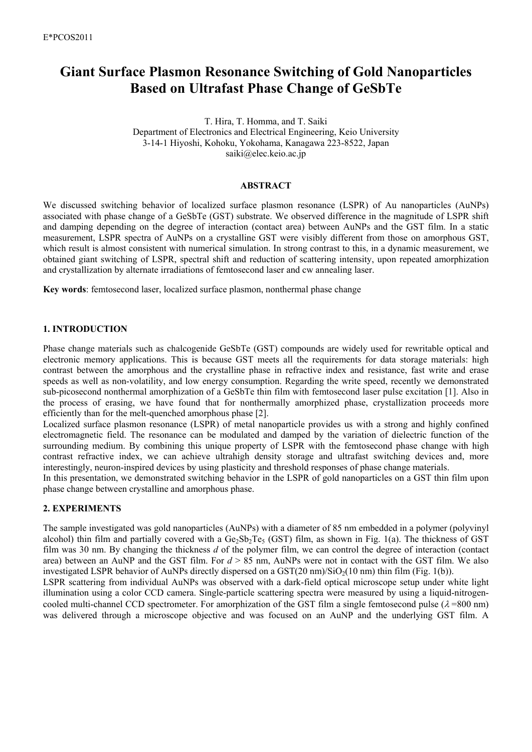# **Giant Surface Plasmon Resonance Switching of Gold Nanoparticles Based on Ultrafast Phase Change of GeSbTe**

T. Hira, T. Homma, and T. Saiki Department of Electronics and Electrical Engineering, Keio University 3-14-1 Hiyoshi, Kohoku, Yokohama, Kanagawa 223-8522, Japan saiki@elec.keio.ac.jp

### **ABSTRACT**

We discussed switching behavior of localized surface plasmon resonance (LSPR) of Au nanoparticles (AuNPs) associated with phase change of a GeSbTe (GST) substrate. We observed difference in the magnitude of LSPR shift and damping depending on the degree of interaction (contact area) between AuNPs and the GST film. In a static measurement, LSPR spectra of AuNPs on a crystalline GST were visibly different from those on amorphous GST, which result is almost consistent with numerical simulation. In strong contrast to this, in a dynamic measurement, we obtained giant switching of LSPR, spectral shift and reduction of scattering intensity, upon repeated amorphization and crystallization by alternate irradiations of femtosecond laser and cw annealing laser.

**Key words**: femtosecond laser, localized surface plasmon, nonthermal phase change

## **1. INTRODUCTION**

Phase change materials such as chalcogenide GeSbTe (GST) compounds are widely used for rewritable optical and electronic memory applications. This is because GST meets all the requirements for data storage materials: high contrast between the amorphous and the crystalline phase in refractive index and resistance, fast write and erase speeds as well as non-volatility, and low energy consumption. Regarding the write speed, recently we demonstrated sub-picosecond nonthermal amorphization of a GeSbTe thin film with femtosecond laser pulse excitation [1]. Also in the process of erasing, we have found that for nonthermally amorphized phase, crystallization proceeds more efficiently than for the melt-quenched amorphous phase [2].

Localized surface plasmon resonance (LSPR) of metal nanoparticle provides us with a strong and highly confined electromagnetic field. The resonance can be modulated and damped by the variation of dielectric function of the surrounding medium. By combining this unique property of LSPR with the femtosecond phase change with high contrast refractive index, we can achieve ultrahigh density storage and ultrafast switching devices and, more interestingly, neuron-inspired devices by using plasticity and threshold responses of phase change materials.

In this presentation, we demonstrated switching behavior in the LSPR of gold nanoparticles on a GST thin film upon phase change between crystalline and amorphous phase.

#### **2. EXPERIMENTS**

The sample investigated was gold nanoparticles (AuNPs) with a diameter of 85 nm embedded in a polymer (polyvinyl alcohol) thin film and partially covered with a  $Ge_2Sb_2Te_5$  (GST) film, as shown in Fig. 1(a). The thickness of GST film was 30 nm. By changing the thickness *d* of the polymer film, we can control the degree of interaction (contact area) between an AuNP and the GST film. For *d* > 85 nm, AuNPs were not in contact with the GST film. We also investigated LSPR behavior of AuNPs directly dispersed on a  $\text{GST}(20 \text{ nm})/\text{SiO}_2(10 \text{ nm})$  thin film (Fig. 1(b)).

LSPR scattering from individual AuNPs was observed with a dark-field optical microscope setup under white light illumination using a color CCD camera. Single-particle scattering spectra were measured by using a liquid-nitrogencooled multi-channel CCD spectrometer. For amorphization of the GST film a single femtosecond pulse ( $\lambda$ =800 nm) was delivered through a microscope objective and was focused on an AuNP and the underlying GST film. A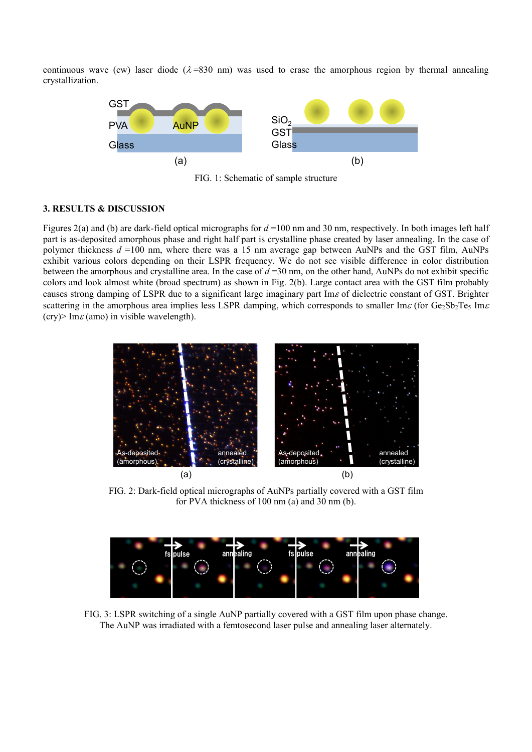continuous wave (cw) laser diode ( $\lambda$ =830 nm) was used to erase the amorphous region by thermal annealing crystallization.



FIG. 1: Schematic of sample structure

#### **3. RESULTS & DISCUSSION**

Figures 2(a) and (b) are dark-field optical micrographs for *d* =100 nm and 30 nm, respectively. In both images left half part is as-deposited amorphous phase and right half part is crystalline phase created by laser annealing. In the case of polymer thickness *d* =100 nm, where there was a 15 nm average gap between AuNPs and the GST film, AuNPs exhibit various colors depending on their LSPR frequency. We do not see visible difference in color distribution between the amorphous and crystalline area. In the case of  $d = 30$  nm, on the other hand, AuNPs do not exhibit specific colors and look almost white (broad spectrum) as shown in Fig. 2(b). Large contact area with the GST film probably causes strong damping of LSPR due to a significant large imaginary part  $\text{Im}\varepsilon$  of dielectric constant of GST. Brighter scattering in the amorphous area implies less LSPR damping, which corresponds to smaller Im $\varepsilon$  (for Ge<sub>2</sub>Sb<sub>2</sub>Te<sub>5</sub> Im $\varepsilon$  $(cry)$  Im  $\varepsilon$  (amo) in visible wavelength).



FIG. 2: Dark-field optical micrographs of AuNPs partially covered with a GST film for PVA thickness of 100 nm (a) and 30 nm (b).



FIG. 3: LSPR switching of a single AuNP partially covered with a GST film upon phase change. The AuNP was irradiated with a femtosecond laser pulse and annealing laser alternately.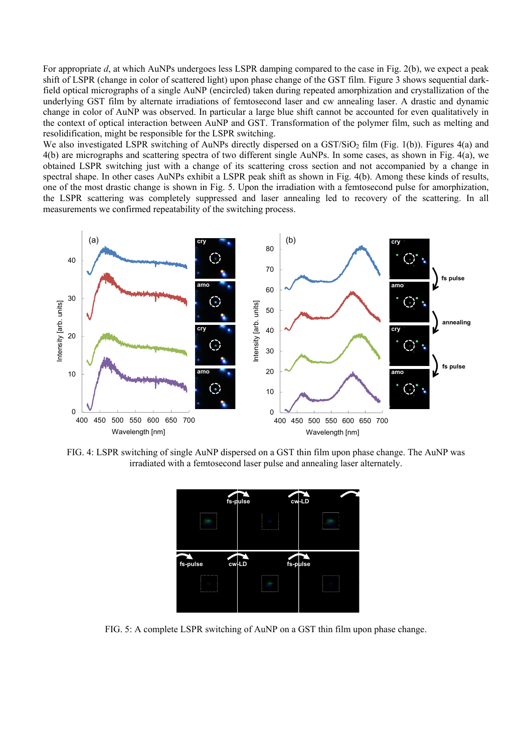For appropriate *d*, at which AuNPs undergoes less LSPR damping compared to the case in Fig. 2(b), we expect a peak shift of LSPR (change in color of scattered light) upon phase change of the GST film. Figure 3 shows sequential darkfield optical micrographs of a single AuNP (encircled) taken during repeated amorphization and crystallization of the underlying GST film by alternate irradiations of femtosecond laser and cw annealing laser. A drastic and dynamic change in color of AuNP was observed. In particular a large blue shift cannot be accounted for even qualitatively in the context of optical interaction between AuNP and GST. Transformation of the polymer film, such as melting and resolidification, might be responsible for the LSPR switching.

We also investigated LSPR switching of AuNPs directly dispersed on a  $GST/SiO<sub>2</sub>$  film (Fig. 1(b)). Figures 4(a) and 4(b) are micrographs and scattering spectra of two different single AuNPs. In some cases, as shown in Fig. 4(a), we obtained LSPR switching just with a change of its scattering cross section and not accompanied by a change in spectral shape. In other cases AuNPs exhibit a LSPR peak shift as shown in Fig. 4(b). Among these kinds of results, one of the most drastic change is shown in Fig. 5. Upon the irradiation with a femtosecond pulse for amorphization, the LSPR scattering was completely suppressed and laser annealing led to recovery of the scattering. In all measurements we confirmed repeatability of the switching process.



FIG. 4: LSPR switching of single AuNP dispersed on a GST thin film upon phase change. The AuNP was irradiated with a femtosecond laser pulse and annealing laser alternately.

|                        | fs-pulse | cw-LD    |  |
|------------------------|----------|----------|--|
|                        |          |          |  |
|                        |          |          |  |
| fs-pulse               | cw-LD    | fs-pulse |  |
| <br>------------------ |          |          |  |
|                        |          |          |  |

FIG. 5: A complete LSPR switching of AuNP on a GST thin film upon phase change.